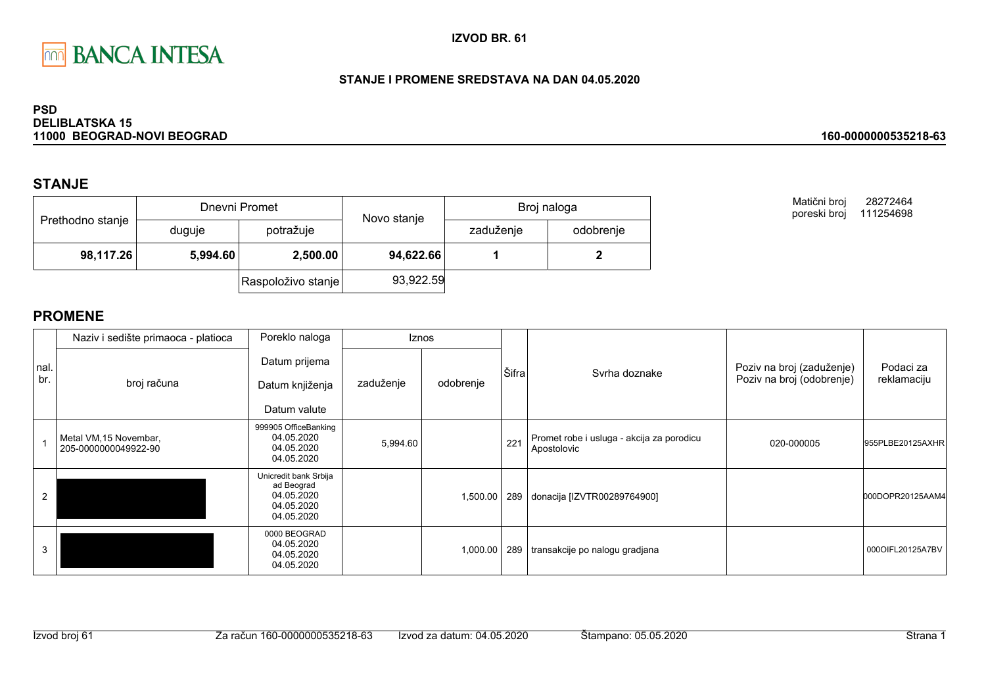

## STANJE I PROMENE SREDSTAVA NA DAN 04.05.2020

### **PSD DELIBLATSKA 15** 11000 BEOGRAD-NOVI BEOGRAD

# **STANJE**

| Prethodno stanje |        | Dnevni Promet        | Novo stanje | Broj naloga |           |  |
|------------------|--------|----------------------|-------------|-------------|-----------|--|
|                  | duguje | potražuje            |             | zaduženje   | odobrenje |  |
| 98,117.26        |        | 2,500.00<br>5,994.60 |             | 94,622.66   |           |  |
|                  |        | Raspoloživo stanje   | 93,922.59   |             |           |  |

Matični broj 28272464 poreski broj 111254698

160-0000000535218-63

|             | Naziv i sedište primaoca - platioca            | Poreklo naloga                                                                |           | <b>Iznos</b> |       |                                                          |                                                        |                          |
|-------------|------------------------------------------------|-------------------------------------------------------------------------------|-----------|--------------|-------|----------------------------------------------------------|--------------------------------------------------------|--------------------------|
| nal.<br>br. | broj računa                                    | Datum prijema<br>Datum knjiženja<br>Datum valute                              | zaduženje | odobrenje    | Šifra | Syrha doznake                                            | Poziv na broj (zaduženje)<br>Poziv na broj (odobrenje) | Podaci za<br>reklamaciju |
|             | Metal VM, 15 Novembar,<br>205-0000000049922-90 | 999905 OfficeBanking<br>04.05.2020<br>04.05.2020<br>04.05.2020                | 5,994.60  |              | 221   | Promet robe i usluga - akcija za porodicu<br>Apostolovic | 020-000005                                             | 955PLBE20125AXHR         |
|             |                                                | Unicredit bank Srbija<br>ad Beograd<br>04.05.2020<br>04.05.2020<br>04.05.2020 |           | 1,500.00     |       | 289 donacija [IZVTR00289764900]                          |                                                        | 000DOPR20125AAM4         |
|             |                                                | 0000 BEOGRAD<br>04.05.2020<br>04.05.2020<br>04.05.2020                        |           | 1,000.00     | 289   | transakcije po nalogu gradjana                           |                                                        | 0000IFL20125A7BV         |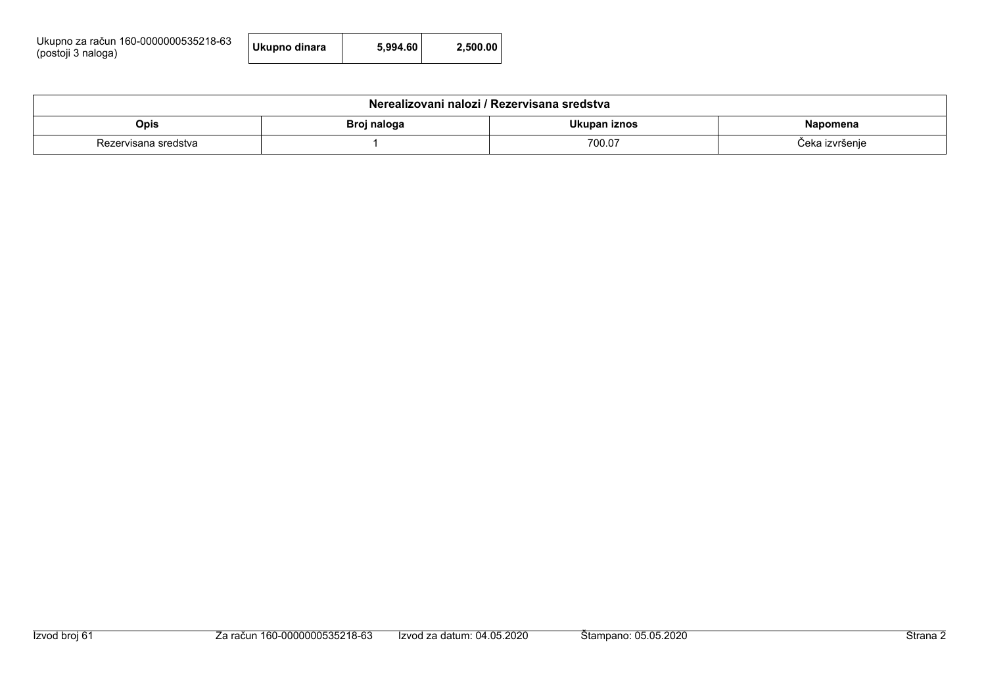| Ukupno za račun 160-0000000535218-63<br>(postoji 3 naloga) | Ukupno dinara | 5.994.60 | 2.500.00 |
|------------------------------------------------------------|---------------|----------|----------|
|------------------------------------------------------------|---------------|----------|----------|

| Nerealizovani nalozi / Rezervisana sredstva              |  |  |  |  |  |  |  |
|----------------------------------------------------------|--|--|--|--|--|--|--|
| Ukupan iznos<br>Opis<br>Broj naloga<br>Napomena          |  |  |  |  |  |  |  |
| 700.07<br><i>S</i> eka izvršenje<br>Rezervisana sredstva |  |  |  |  |  |  |  |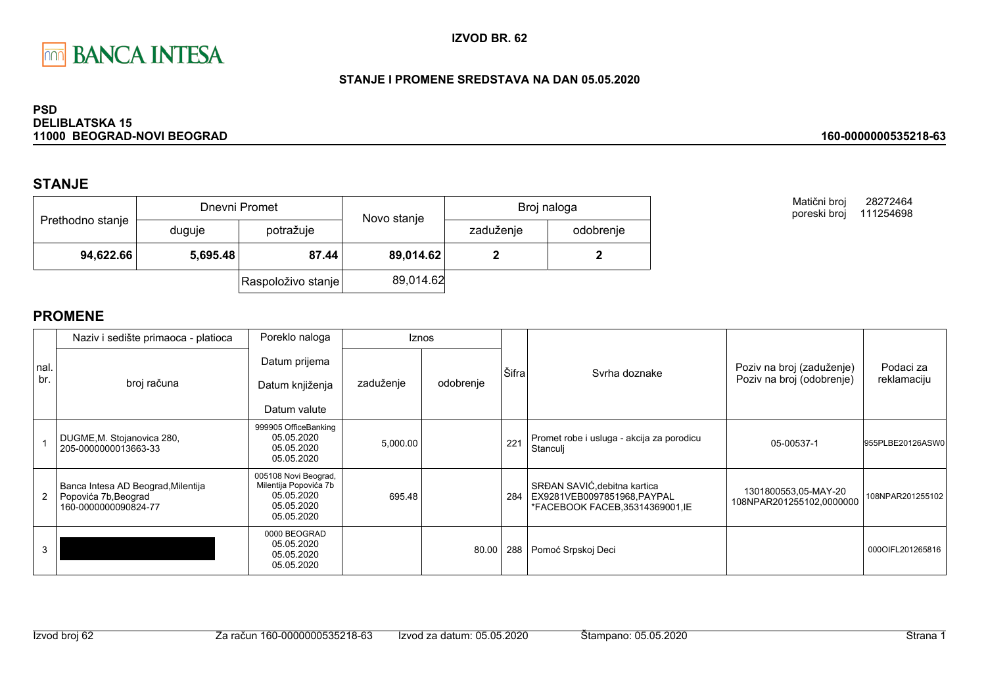

## STANJE I PROMENE SREDSTAVA NA DAN 05.05.2020

### **PSD DELIBLATSKA 15** 11000 BEOGRAD-NOVI BEOGRAD

# **STANJE**

| Prethodno stanje |          | Dnevni Promet      | Novo stanje | Broj naloga |           |  |
|------------------|----------|--------------------|-------------|-------------|-----------|--|
|                  | duguje   | potražuje          |             | zaduženje   | odobrenje |  |
| 94,622.66        | 5,695.48 | 87.44              | 89,014.62   |             |           |  |
|                  |          | Raspoloživo stanje | 89,014.62   |             |           |  |

Matični broj 28272464 poreski broj 111254698

160-0000000535218-63

# **PROMENE**

|             | Naziv i sedište primaoca - platioca                                                | Poreklo naloga                                                                          |           | <b>Iznos</b> |       |                                                                                                 |                                                        |                          |
|-------------|------------------------------------------------------------------------------------|-----------------------------------------------------------------------------------------|-----------|--------------|-------|-------------------------------------------------------------------------------------------------|--------------------------------------------------------|--------------------------|
| nal.<br>br. | broj računa                                                                        | Datum prijema<br>Datum knjiženja                                                        | zaduženje | odobrenje    | Šifra | Syrha doznake                                                                                   | Poziv na broj (zaduženje)<br>Poziv na broj (odobrenje) | Podaci za<br>reklamaciju |
|             |                                                                                    | Datum valute                                                                            |           |              |       |                                                                                                 |                                                        |                          |
|             | DUGME, M. Stojanovica 280,<br>205-0000000013663-33                                 | 999905 OfficeBanking<br>05.05.2020<br>05.05.2020<br>05.05.2020                          | 5,000.00  |              | 221   | Promet robe i usluga - akcija za porodicu<br>Stanculj                                           | 05-00537-1                                             | 955PLBE20126ASW0         |
|             | Banca Intesa AD Beograd, Milentija<br>Popovića 7b, Beograd<br>160-0000000090824-77 | 005108 Novi Beograd,<br>Milentija Popovića 7b<br>05.05.2020<br>05.05.2020<br>05.05.2020 | 695.48    |              | 284   | SRĐAN SAVIĆ, debitna kartica<br>EX9281VEB0097851968, PAYPAL<br>*FACEBOOK FACEB, 35314369001, IE | 1301800553,05-MAY-20<br>108NPAR201255102,0000000       | 108NPAR201255102         |
|             |                                                                                    | 0000 BEOGRAD<br>05.05.2020<br>05.05.2020<br>05.05.2020                                  |           | 80.00        | 288   | Pomoć Srpskoj Deci                                                                              |                                                        | 000OIFL201265816         |

Izvod broj 62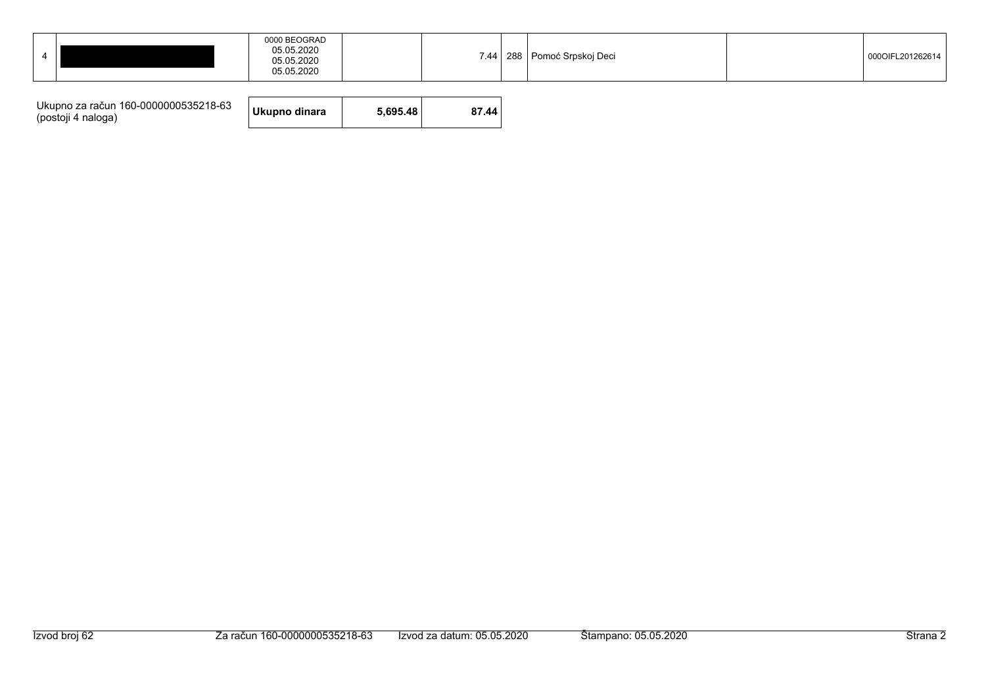|  | 05.05.2020<br>05.05.2020<br>05.05.2020 |  |  |  | 7.44   288   Pomoć Srpskoj Deci |  | 000OIFL201262614 |
|--|----------------------------------------|--|--|--|---------------------------------|--|------------------|
|--|----------------------------------------|--|--|--|---------------------------------|--|------------------|

| Ukupno za račun 160-0000000535218-63<br>(postoji 4 naloga) | Ukupno dinara | 5.695.48 | 87.44 |
|------------------------------------------------------------|---------------|----------|-------|
|------------------------------------------------------------|---------------|----------|-------|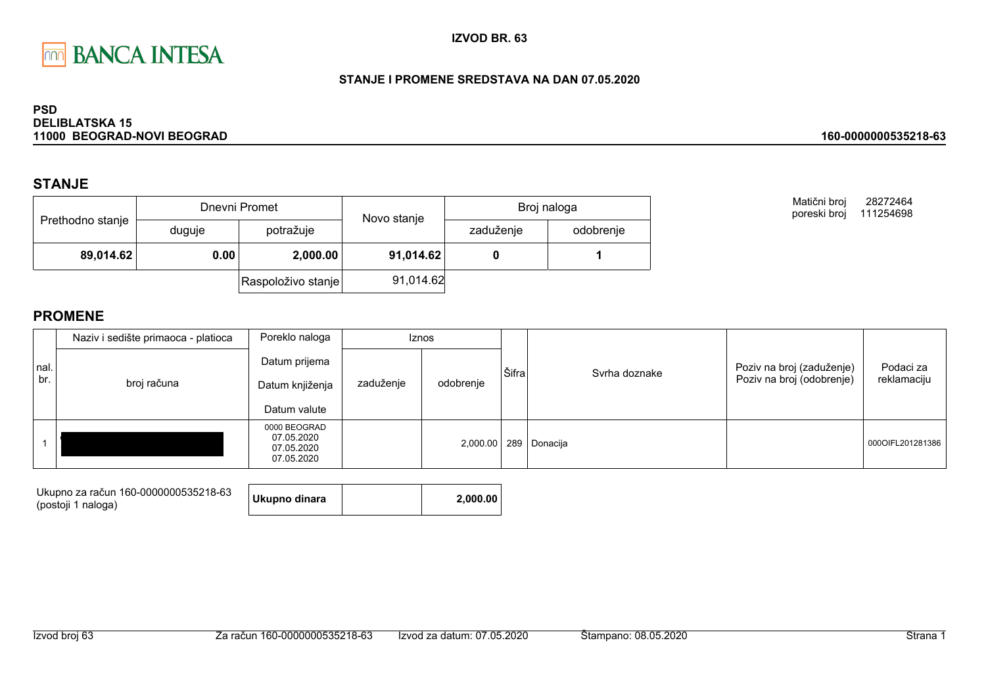

## STANJE I PROMENE SREDSTAVA NA DAN 07.05.2020

### **PSD DELIBLATSKA 15** 11000 BEOGRAD-NOVI BEOGRAD

# **STANJE**

| Prethodno stanje |        | Dnevni Promet      | Novo stanje | Broj naloga |           |  |
|------------------|--------|--------------------|-------------|-------------|-----------|--|
|                  | duguje | potražuje          |             | zaduženje   | odobrenje |  |
| 89,014.62        | 0.00   | 2,000.00           | 91,014.62   |             |           |  |
|                  |        | Raspoloživo stanje | 91,014.62   |             |           |  |

Matični broj 28272464 poreski broj 111254698

160-0000000535218-63

|             | Naziv i sedište primaoca - platioca | Poreklo naloga                                         |           | <b>Iznos</b> |       |                           |                                                        |                          |
|-------------|-------------------------------------|--------------------------------------------------------|-----------|--------------|-------|---------------------------|--------------------------------------------------------|--------------------------|
| nal.<br>br. | broj računa                         | Datum prijema<br>Datum knjiženja<br>Datum valute       | zaduženje | odobrenje    | Šifra | Svrha doznake             | Poziv na broj (zaduženje)<br>Poziv na broj (odobrenje) | Podaci za<br>reklamaciju |
|             |                                     | 0000 BEOGRAD<br>07.05.2020<br>07.05.2020<br>07.05.2020 |           |              |       | 2,000.00   289   Donacija |                                                        | 000OIFL201281386         |

| Ukupno za račun 160-0000000535218-63 | Ukupno dinara | 2.000.00 |
|--------------------------------------|---------------|----------|
| (postoji 1 naloga)                   |               |          |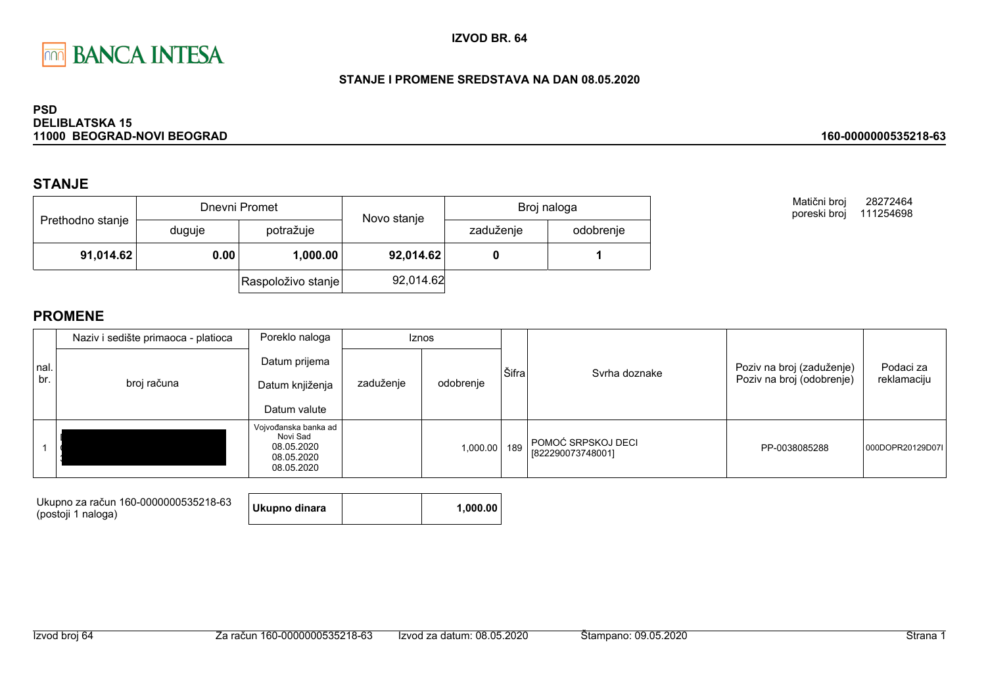

## STANJE I PROMENE SREDSTAVA NA DAN 08.05.2020

### **PSD DELIBLATSKA 15** 11000 BEOGRAD-NOVI BEOGRAD

# **STANJE**

| Prethodno stanje |        | Dnevni Promet      | Novo stanje | Broj naloga |           |  |
|------------------|--------|--------------------|-------------|-------------|-----------|--|
|                  | duguje | potražuje          |             | zaduženje   | odobrenje |  |
| 91,014.62        | 0.00   | 1,000.00           | 92,014.62   |             |           |  |
|                  |        | Raspoloživo stanje | 92,014.62   |             |           |  |

Matični broj 28272464 poreski broj 111254698

160-0000000535218-63

|             | Naziv i sedište primaoca - platioca | Poreklo naloga                                                             |           | Iznos     |       |                                         |                                                        |                          |
|-------------|-------------------------------------|----------------------------------------------------------------------------|-----------|-----------|-------|-----------------------------------------|--------------------------------------------------------|--------------------------|
| nal.<br>br. | broj računa                         | Datum prijema<br>Datum knjiženja<br>Datum valute                           | zaduženje | odobrenje | Šifra | Svrha doznake                           | Poziv na broj (zaduženje)<br>Poziv na broj (odobrenje) | Podaci za<br>reklamaciju |
|             |                                     | Vojvođanska banka ad<br>Novi Sad<br>08.05.2020<br>08.05.2020<br>08.05.2020 |           | 1,000.00  | 189   | POMOĆ SRPSKOJ DECI<br>[822290073748001] | PP-0038085288                                          | 000DOPR20129D07L         |

| Ukupno za račun 160-0000000535218-63<br>(postoji 1 naloga) | Ukupno dinara |  | 1.000.00 |
|------------------------------------------------------------|---------------|--|----------|
|------------------------------------------------------------|---------------|--|----------|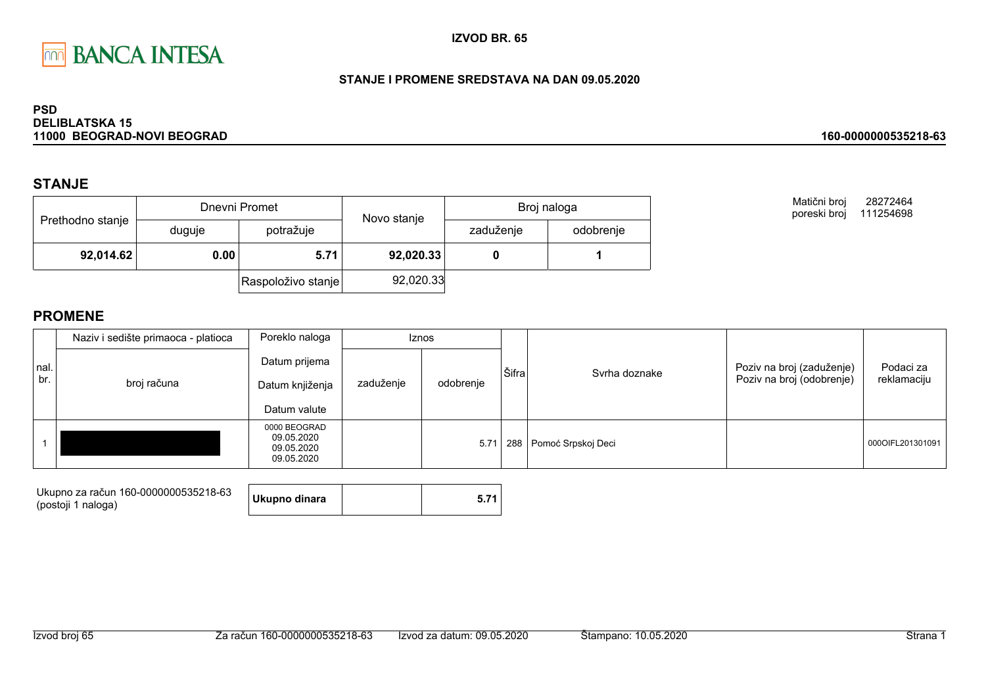

## STANJE I PROMENE SREDSTAVA NA DAN 09.05.2020

### **PSD DELIBLATSKA 15** 11000 BEOGRAD-NOVI BEOGRAD

# **STANJE**

|                  |        | Dnevni Promet      | Novo stanje | Broj naloga |           |  |
|------------------|--------|--------------------|-------------|-------------|-----------|--|
| Prethodno stanje | duguje | potražuje          |             | zaduženje   | odobrenje |  |
| 92,014.62        | 0.00   | 5.71               | 92,020.33   |             |           |  |
|                  |        | Raspoloživo stanje | 92,020.33   |             |           |  |

Matični broj 28272464 poreski broj 111254698

160-0000000535218-63

|             | Naziv i sedište primaoca - platioca | Poreklo naloga                                         | <b>Iznos</b> |           |       |                        |                                                        |                          |
|-------------|-------------------------------------|--------------------------------------------------------|--------------|-----------|-------|------------------------|--------------------------------------------------------|--------------------------|
| nal.<br>br. | broj računa                         | Datum prijema<br>Datum knjiženja<br>Datum valute       | zaduženje    | odobrenje | Šifra | Syrha doznake          | Poziv na broj (zaduženje)<br>Poziv na broj (odobrenje) | Podaci za<br>reklamaciju |
|             |                                     | 0000 BEOGRAD<br>09.05.2020<br>09.05.2020<br>09.05.2020 |              | 5.71      |       | 288 Pomoć Srpskoj Deci |                                                        | 000OIFL201301091         |

| Ukupno za račun 160-0000000535218-63<br>(postoji 1 naloga) | Ukupno dinara |  |
|------------------------------------------------------------|---------------|--|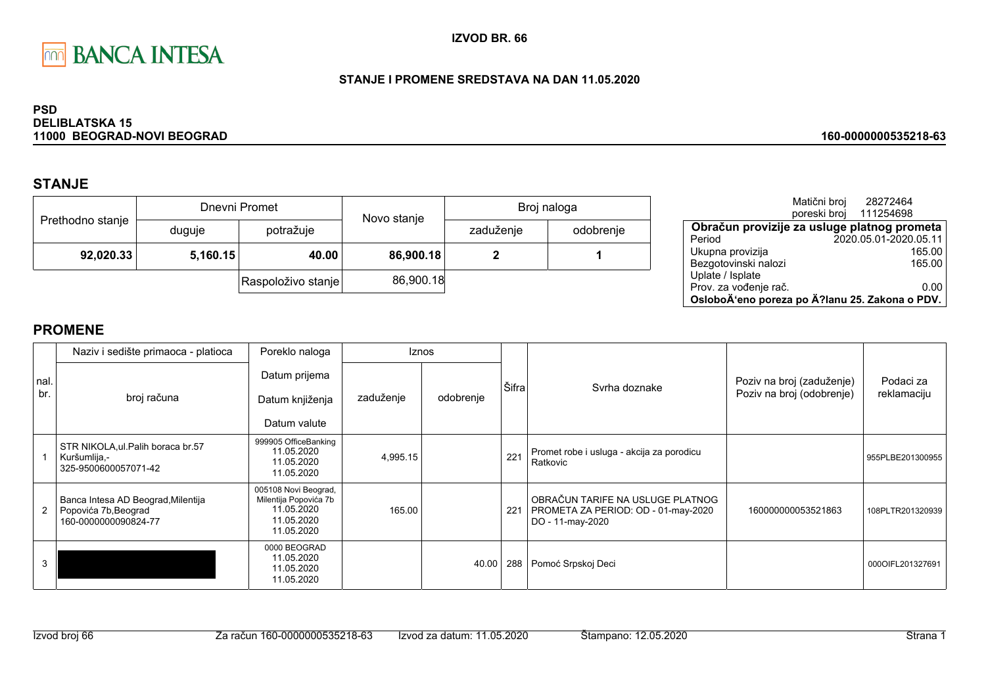

## STANJE I PROMENE SREDSTAVA NA DAN 11.05.2020

### **PSD DELIBLATSKA 15** 11000 BEOGRAD-NOVI BEOGRAD

# **STANJE**

|                  |          | Dnevni Promet      | Novo stanje | Broj naloga |           |  |
|------------------|----------|--------------------|-------------|-------------|-----------|--|
| Prethodno stanje | duguje   | potražuje          |             | zaduženje   | odobrenje |  |
| 92,020.33        | 5,160.15 | 40.00              | 86,900.18   |             |           |  |
|                  |          | Raspoloživo stanje | 86,900.18   |             |           |  |

|                                                | Matični broj | 28272464               |  |
|------------------------------------------------|--------------|------------------------|--|
|                                                |              | poreski broj 111254698 |  |
| Obračun provizije za usluge platnog prometa    |              |                        |  |
| Period                                         |              | 2020.05.01-2020.05.11  |  |
| Ukupna provizija                               |              | 165.00                 |  |
| Bezgotovinski nalozi                           |              | 165.00                 |  |
| Uplate / Isplate                               |              |                        |  |
| Prov. za vođenje rač.                          |              | 0.00                   |  |
| OsloboÄ'eno poreza po Ä?lanu 25. Zakona o PDV. |              |                        |  |

160-0000000535218-63

|             | Naziv i sedište primaoca - platioca                                                | Poreklo naloga                                                                          |           | <b>Iznos</b> |       |                                                                                             |                                                        |                          |
|-------------|------------------------------------------------------------------------------------|-----------------------------------------------------------------------------------------|-----------|--------------|-------|---------------------------------------------------------------------------------------------|--------------------------------------------------------|--------------------------|
| nal.<br>br. | broj računa                                                                        | Datum prijema<br>Datum knjiženja<br>Datum valute                                        | zaduženje | odobrenje    | Šifra | Syrha doznake                                                                               | Poziv na broj (zaduženje)<br>Poziv na broj (odobrenje) | Podaci za<br>reklamaciju |
|             | STR NIKOLA, ul. Palih boraca br.57<br>Kuršumlija,-<br>325-9500600057071-42         | 999905 OfficeBanking<br>11.05.2020<br>11.05.2020<br>11.05.2020                          | 4,995.15  |              | 221   | Promet robe i usluga - akcija za porodicu<br>Ratkovic                                       |                                                        | 955PLBE201300955         |
|             | Banca Intesa AD Beograd, Milentija<br>Popovića 7b, Beograd<br>160-0000000090824-77 | 005108 Novi Beograd,<br>Milentija Popovića 7b<br>11.05.2020<br>11.05.2020<br>11.05.2020 | 165.00    |              | 221   | OBRAČUN TARIFE NA USLUGE PLATNOG<br>PROMETA ZA PERIOD: OD - 01-may-2020<br>DO - 11-may-2020 | 160000000053521863                                     | 108PLTR201320939         |
|             |                                                                                    | 0000 BEOGRAD<br>11.05.2020<br>11.05.2020<br>11.05.2020                                  |           | 40.00        | 288   | Pomoć Srpskoj Deci                                                                          |                                                        | 000OIFL201327691         |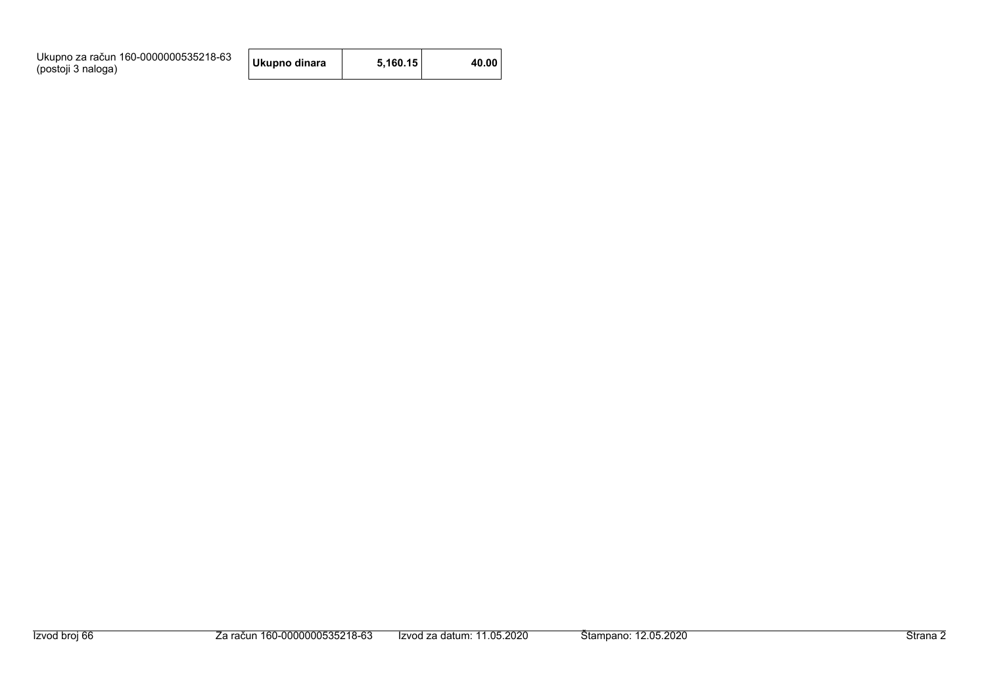| Ukupno za račun 160-0000000535218-63<br>(postoji 3 naloga) | Ukupno dinara | 5.160.15 | 40.00 |
|------------------------------------------------------------|---------------|----------|-------|
|------------------------------------------------------------|---------------|----------|-------|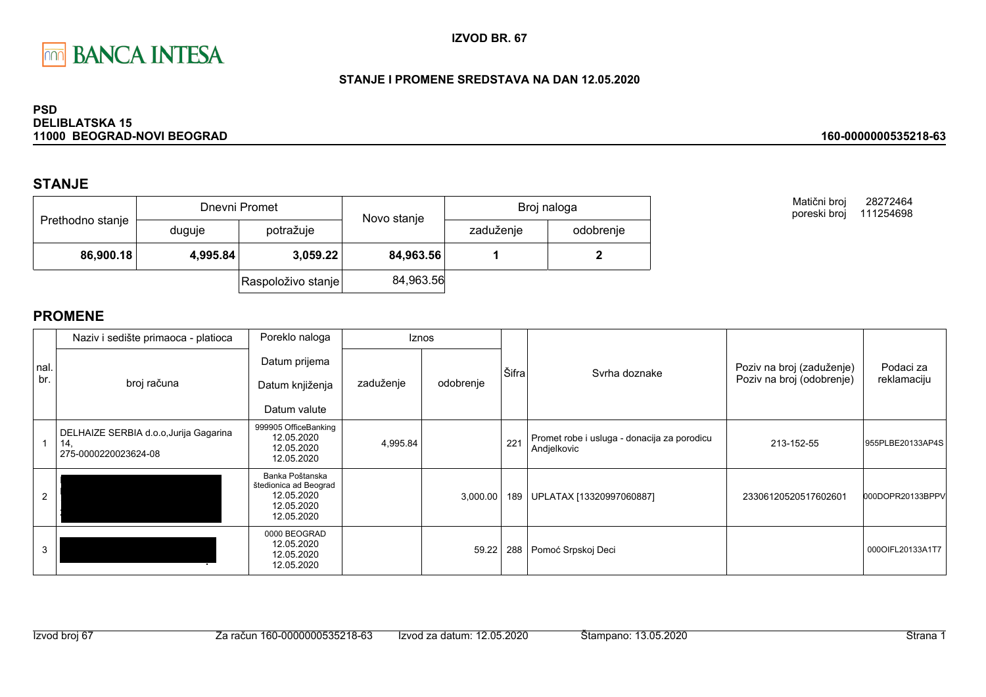

## STANJE I PROMENE SREDSTAVA NA DAN 12.05.2020

### **PSD DELIBLATSKA 15** 11000 BEOGRAD-NOVI BEOGRAD

# **STANJE**

|                  |                                   | Dnevni Promet      | Novo stanje | Broj naloga |           |  |
|------------------|-----------------------------------|--------------------|-------------|-------------|-----------|--|
| Prethodno stanje | duguje                            | potražuje          |             | zaduženje   | odobrenje |  |
|                  | 86,900.18<br>3,059.22<br>4,995.84 |                    | 84,963.56   |             |           |  |
|                  |                                   | Raspoloživo stanje | 84,963.56   |             |           |  |

Matični broj 28272464 poreski broj 111254698

160-0000000535218-63

|             | Naziv i sedište primaoca - platioca                                   | Poreklo naloga                                                                     |           | Iznos     |       |                                                            | Poziv na broj (zaduženje)<br>Poziv na broj (odobrenje) | Podaci za<br>reklamaciju |
|-------------|-----------------------------------------------------------------------|------------------------------------------------------------------------------------|-----------|-----------|-------|------------------------------------------------------------|--------------------------------------------------------|--------------------------|
| nal.<br>br. | broj računa                                                           | Datum prijema<br>Datum knjiženja<br>Datum valute                                   | zaduženje | odobrenje | Šifra | Syrha doznake                                              |                                                        |                          |
|             | DELHAIZE SERBIA d.o.o, Jurija Gagarina<br>14.<br>275-0000220023624-08 | 999905 OfficeBanking<br>12.05.2020<br>12.05.2020<br>12.05.2020                     | 4,995.84  |           | 221   | Promet robe i usluga - donacija za porodicu<br>Andjelkovic | 213-152-55                                             | 955PLBE20133AP4S         |
|             |                                                                       | Banka Poštanska<br>štedionica ad Beograd<br>12.05.2020<br>12.05.2020<br>12.05.2020 |           | 3,000.00  | 189   | UPLATAX [13320997060887]                                   | 23306120520517602601                                   | 000DOPR20133BPPV         |
| 3           |                                                                       | 0000 BEOGRAD<br>12.05.2020<br>12.05.2020<br>12.05.2020                             |           | 59.22     | 288   | Pomoć Srpskoj Deci                                         |                                                        | 0000IFL20133A1T7         |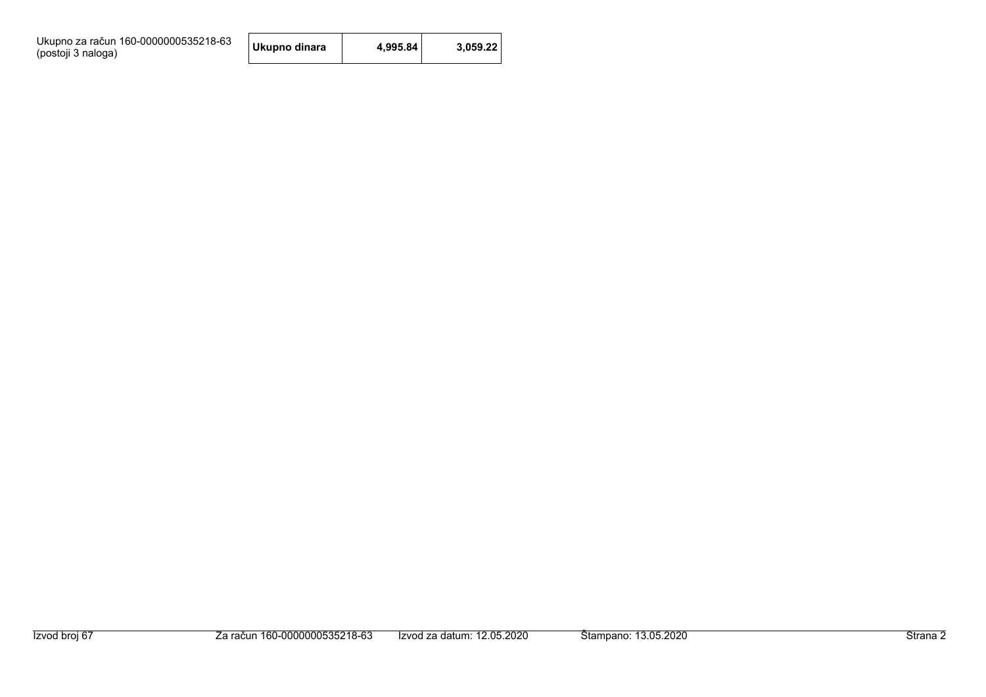| Ukupno za račun 160-0000000535218-63 |  |
|--------------------------------------|--|
| (postoji 3 naloga)                   |  |

| Ukupno dinara | 4,995.84 | 3,059.22 |
|---------------|----------|----------|
|---------------|----------|----------|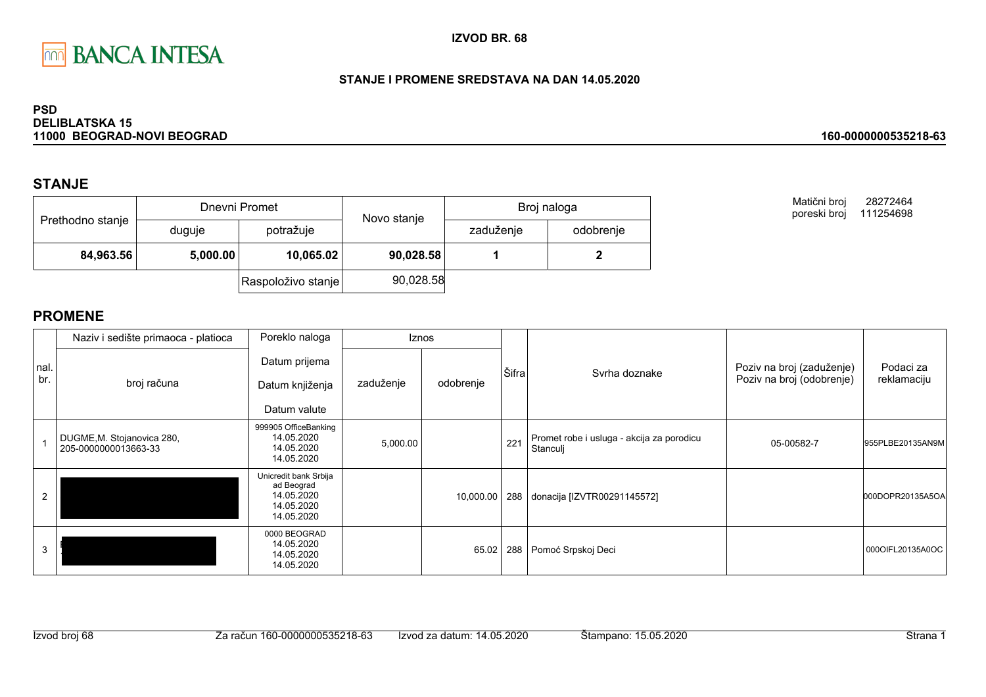

## STANJE I PROMENE SREDSTAVA NA DAN 14.05.2020

### **PSD DELIBLATSKA 15** 11000 BEOGRAD-NOVI BEOGRAD

# **STANJE**

|                  |          | Dnevni Promet      |             | Broj naloga |           |  |
|------------------|----------|--------------------|-------------|-------------|-----------|--|
| Prethodno stanje | duguje   | potražuje          | Novo stanje | zaduženje   | odobrenje |  |
| 84,963.56        | 5,000.00 | 10,065.02          | 90,028.58   |             |           |  |
|                  |          | Raspoloživo stanje | 90,028.58   |             |           |  |

Matični broj 28272464 poreski broj 111254698

160-0000000535218-63

# **PROMENE**

|             | Naziv i sedište primaoca - platioca                | Poreklo naloga                                                                |           | <b>Iznos</b> |       |                                                       |                                                        |                          |
|-------------|----------------------------------------------------|-------------------------------------------------------------------------------|-----------|--------------|-------|-------------------------------------------------------|--------------------------------------------------------|--------------------------|
| nal.<br>br. | broj računa                                        | Datum prijema<br>Datum knjiženja<br>Datum valute                              | zaduženje | odobrenje    | Šifra | Syrha doznake                                         | Poziv na broj (zaduženje)<br>Poziv na broj (odobrenje) | Podaci za<br>reklamaciju |
|             | DUGME, M. Stojanovica 280,<br>205-0000000013663-33 | 999905 OfficeBanking<br>14.05.2020<br>14.05.2020<br>14.05.2020                | 5,000.00  |              | 221   | Promet robe i usluga - akcija za porodicu<br>Stanculj | 05-00582-7                                             | 955PLBE20135AN9M         |
|             |                                                    | Unicredit bank Srbija<br>ad Beograd<br>14.05.2020<br>14.05.2020<br>14.05.2020 |           | 10,000.00    | 288   | donacija [IZVTR00291145572]                           |                                                        | 000DOPR20135A5OA         |
| 3           |                                                    | 0000 BEOGRAD<br>14.05.2020<br>14.05.2020<br>14.05.2020                        |           | 65.02        | 288   | Pomoć Srpskoj Deci                                    |                                                        | 0000IFL20135A0OC         |

Izvod broj 68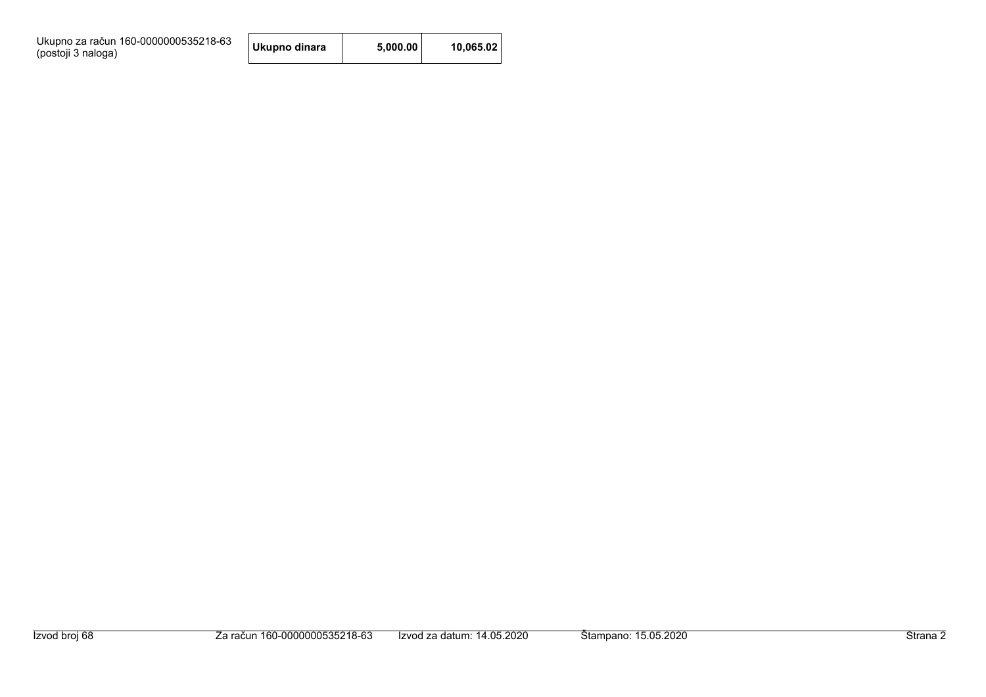Ukupno za račun 160-0000000535218-63<br>(postoji 3 naloga)

| Ukupno dinara | 5,000.00 | 10,065.02 |
|---------------|----------|-----------|
|---------------|----------|-----------|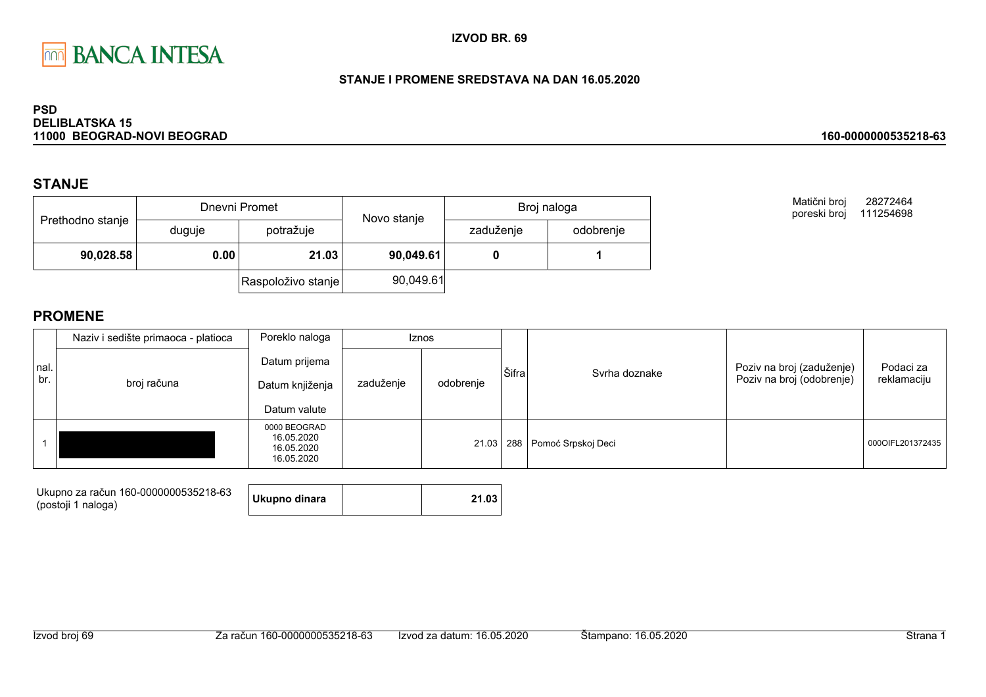

## STANJE I PROMENE SREDSTAVA NA DAN 16.05.2020

### **PSD DELIBLATSKA 15** 11000 BEOGRAD-NOVI BEOGRAD

# **STANJE**

|                  |        | Dnevni Promet      | Novo stanje | Broj naloga |           |
|------------------|--------|--------------------|-------------|-------------|-----------|
| Prethodno stanje | duguje | potražuje          |             | zaduženje   | odobrenje |
| 90,028.58        | 0.00   | 21.03              | 90,049.61   |             |           |
|                  |        | Raspoloživo stanje | 90,049.61   |             |           |

Matični broj 28272464 poreski broj 111254698

160-0000000535218-63

|             | Naziv i sedište primaoca - platioca | Poreklo naloga                                         | <b>Iznos</b> |           |       |                                  |                                                        |                          |
|-------------|-------------------------------------|--------------------------------------------------------|--------------|-----------|-------|----------------------------------|--------------------------------------------------------|--------------------------|
| nal.<br>br. | broj računa                         | Datum prijema<br>Datum knjiženja<br>Datum valute       | zaduženje    | odobrenje | Šifra | Syrha doznake                    | Poziv na broj (zaduženje)<br>Poziv na broj (odobrenje) | Podaci za<br>reklamaciju |
|             |                                     | 0000 BEOGRAD<br>16.05.2020<br>16.05.2020<br>16.05.2020 |              |           |       | 21.03   288   Pomoć Srpskoj Deci |                                                        | 000OIFL201372435         |

| Ukupno za račun 160-0000000535218-63 |               |       |
|--------------------------------------|---------------|-------|
| (postoji 1 naloga)                   | Ukupno dinara | 21.03 |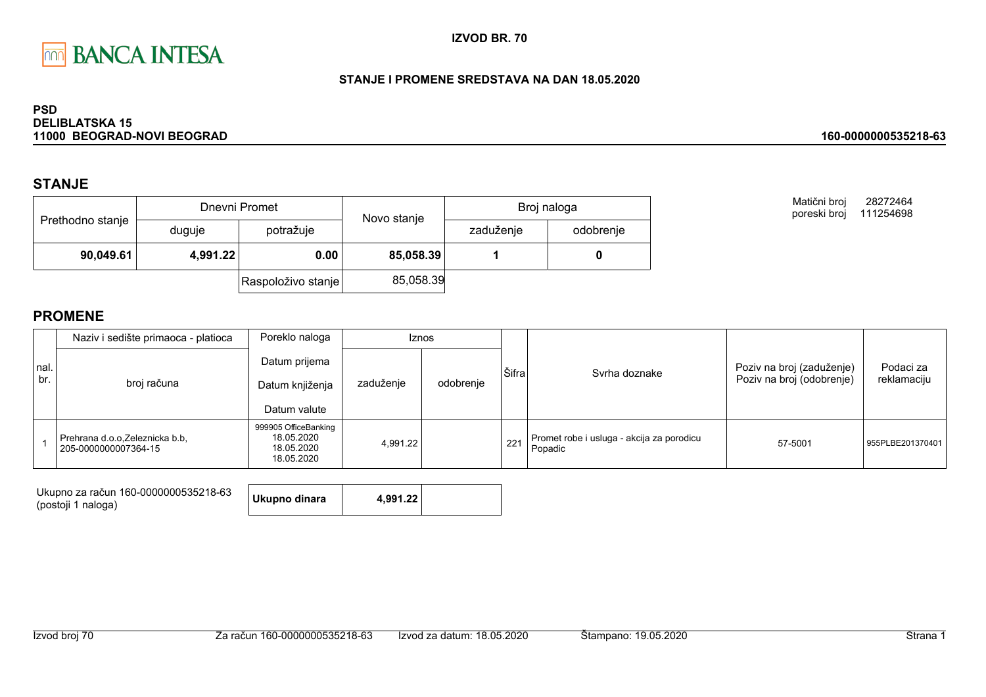

## STANJE I PROMENE SREDSTAVA NA DAN 18.05.2020

### **PSD DELIBLATSKA 15** 11000 BEOGRAD-NOVI BEOGRAD

# **STANJE**

|                  |          | Dnevni Promet      | Novo stanje |           | Broj naloga |
|------------------|----------|--------------------|-------------|-----------|-------------|
| Prethodno stanje | duguje   | potražuje          |             | zaduženje | odobrenje   |
| 90,049.61        | 4,991.22 | 0.00               | 85,058.39   |           |             |
|                  |          | Raspoloživo stanje | 85,058.39   |           |             |

Matični broj 28272464 poreski broj 111254698

160-0000000535218-63

|             | Naziv i sedište primaoca - platioca                    | Poreklo naloga                                                 |           | <b>Iznos</b> |       |                                                      |                                                        |                          |
|-------------|--------------------------------------------------------|----------------------------------------------------------------|-----------|--------------|-------|------------------------------------------------------|--------------------------------------------------------|--------------------------|
| nal.<br>br. | broj računa                                            | Datum prijema<br>Datum knjiženja<br>Datum valute               | zaduženje | odobrenje    | Šifra | Svrha doznake                                        | Poziv na broj (zaduženje)<br>Poziv na broj (odobrenje) | Podaci za<br>reklamaciju |
|             | Prehrana d.o.o.Zeleznicka b.b.<br>205-0000000007364-15 | 999905 OfficeBanking<br>18.05.2020<br>18.05.2020<br>18.05.2020 | 4.991.22  |              | 221   | Promet robe i usluga - akcija za porodicu<br>Popadic | 57-5001                                                | 955PLBE201370401         |

| Ukupno za račun 160-0000000535218-63<br>(postoji 1 naloga) | Ukupno dinara | 4.991.22 |  |
|------------------------------------------------------------|---------------|----------|--|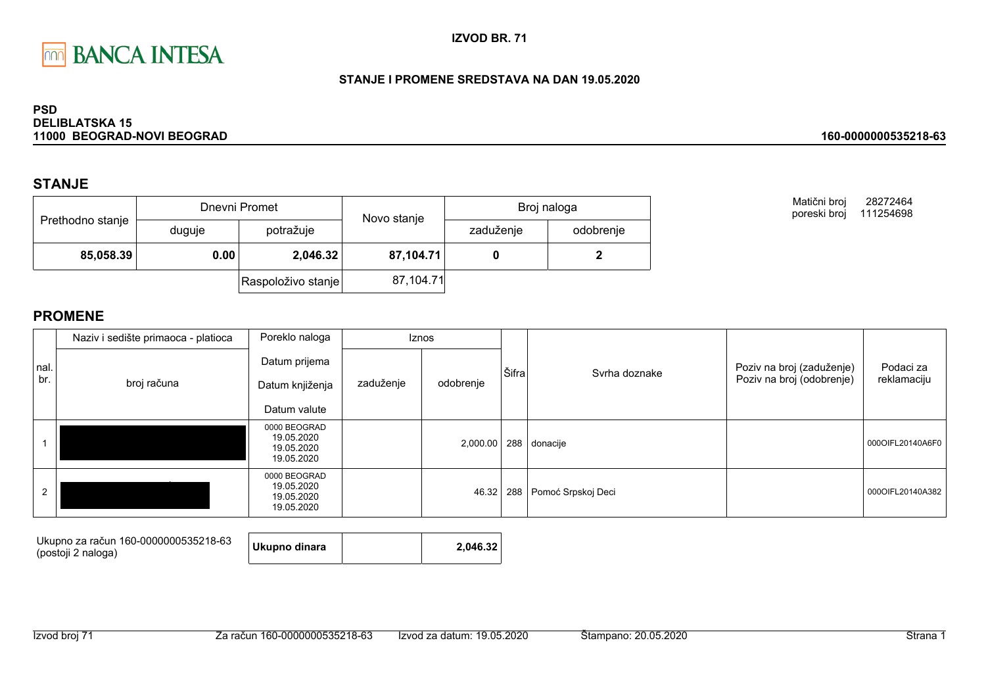

## STANJE I PROMENE SREDSTAVA NA DAN 19.05.2020

### **PSD DELIBLATSKA 15** 11000 BEOGRAD-NOVI BEOGRAD

# **STANJE**

|                  |        | Dnevni Promet      | Novo stanje | Broj naloga |           |
|------------------|--------|--------------------|-------------|-------------|-----------|
| Prethodno stanje | duguje | potražuje          |             | zaduženje   | odobrenje |
| 85,058.39        | 0.00   | 2,046.32           | 87,104.71   |             |           |
|                  |        | Raspoloživo stanje | 87,104.71   |             |           |

Matični broj 28272464 poreski broj 111254698

160-0000000535218-63

|      | Naziv i sedište primaoca - platioca | Poreklo naloga                                         |           | Iznos     |       |                        |                           |                  |
|------|-------------------------------------|--------------------------------------------------------|-----------|-----------|-------|------------------------|---------------------------|------------------|
| nal. |                                     | Datum prijema                                          |           |           | Šifra | Svrha doznake          | Poziv na broj (zaduženje) | Podaci za        |
| br.  | broj računa                         | Datum knjiženja                                        | zaduženje | odobrenje |       |                        | Poziv na broj (odobrenje) | reklamaciju      |
|      |                                     | Datum valute                                           |           |           |       |                        |                           |                  |
|      |                                     | 0000 BEOGRAD<br>19.05.2020<br>19.05.2020<br>19.05.2020 |           | 2,000.00  |       | 288 donacije           |                           | 000OIFL20140A6F0 |
| 2    |                                     | 0000 BEOGRAD<br>19.05.2020<br>19.05.2020<br>19.05.2020 |           | 46.32     |       | 288 Pomoć Srpskoj Deci |                           | 000OIFL20140A382 |

| Ukupno za račun 160-0000000535218-63<br>(postoji 2 naloga) | Ukupno dinara |  | 2.046.32 |
|------------------------------------------------------------|---------------|--|----------|
|------------------------------------------------------------|---------------|--|----------|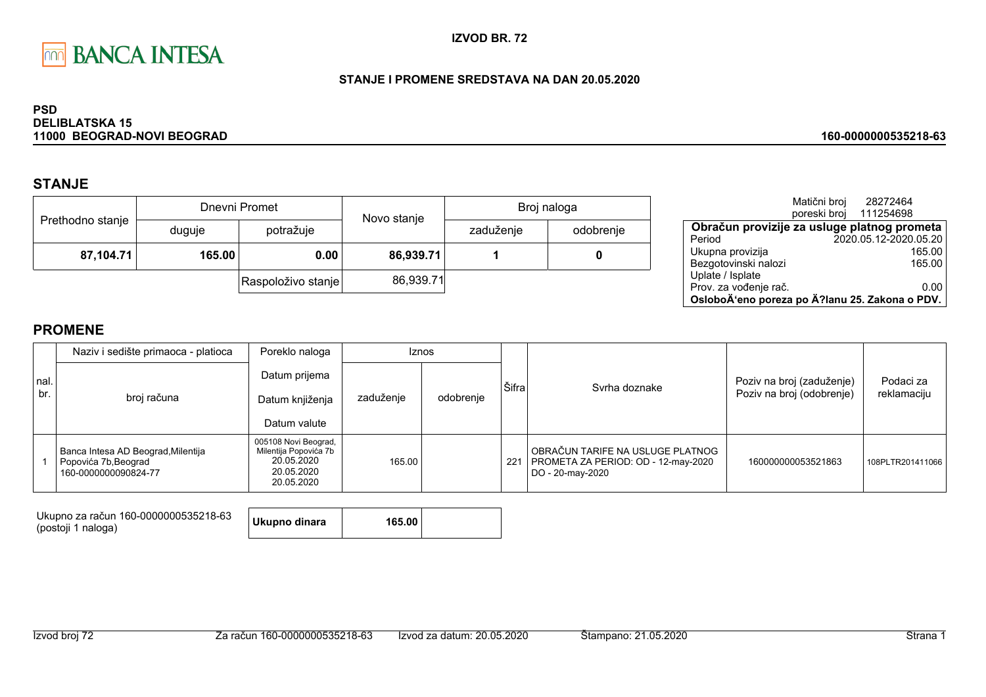

## STANJE I PROMENE SREDSTAVA NA DAN 20.05.2020

### **PSD DELIBLATSKA 15** 11000 BEOGRAD-NOVI BEOGRAD

# **STANJE**

| Prethodno stanje |                     | Dnevni Promet      | Novo stanje | Broj naloga |           |  |
|------------------|---------------------|--------------------|-------------|-------------|-----------|--|
|                  | duguje              | potražuje          |             | zaduženje   | odobrenje |  |
|                  | 87,104.71<br>165.00 |                    | 86,939.71   |             |           |  |
|                  |                     | Raspoloživo stanje | 86,939.71   |             |           |  |

|                                                | Matični broj | 28272464               |        |
|------------------------------------------------|--------------|------------------------|--------|
|                                                |              | poreski broj 111254698 |        |
| Obračun provizije za usluge platnog prometa    |              |                        |        |
| Period                                         |              | 2020.05.12-2020.05.20  |        |
| Ukupna provizija                               |              |                        | 165.00 |
| Bezgotovinski nalozi                           |              |                        | 165.00 |
| Uplate / Isplate                               |              |                        |        |
| Prov. za vođenje rač.                          |              |                        | 0.00   |
| OsloboÄ'eno poreza po Ä?lanu 25. Zakona o PDV. |              |                        |        |

160-0000000535218-63

# **PROMENE**

|             | Naziv i sedište primaoca - platioca                                                | Poreklo naloga<br><b>Iznos</b>                                                          |           |           |       |                                                                                             |                                                        |                          |  |
|-------------|------------------------------------------------------------------------------------|-----------------------------------------------------------------------------------------|-----------|-----------|-------|---------------------------------------------------------------------------------------------|--------------------------------------------------------|--------------------------|--|
| nal.<br>br. | broj računa                                                                        | Datum prijema<br>Datum knjiženja<br>Datum valute                                        | zaduženje | odobrenje | Šifra | Syrha doznake                                                                               | Poziv na broj (zaduženje)<br>Poziv na broj (odobrenje) | Podaci za<br>reklamaciju |  |
|             | Banca Intesa AD Beograd, Milentija<br>Popovića 7b, Beograd<br>160-0000000090824-77 | 005108 Novi Beograd,<br>Milentija Popovića 7b<br>20.05.2020<br>20.05.2020<br>20.05.2020 | 165.00    |           | 221   | OBRAČUN TARIFE NA USLUGE PLATNOG<br>PROMETA ZA PERIOD: OD - 12-may-2020<br>DO - 20-may-2020 | 160000000053521863                                     | 108PLTR201411066         |  |

Ukupno za račun 160-0000000535218-63 (postoji 1 naloga)

**Ukupno dinara** 165.00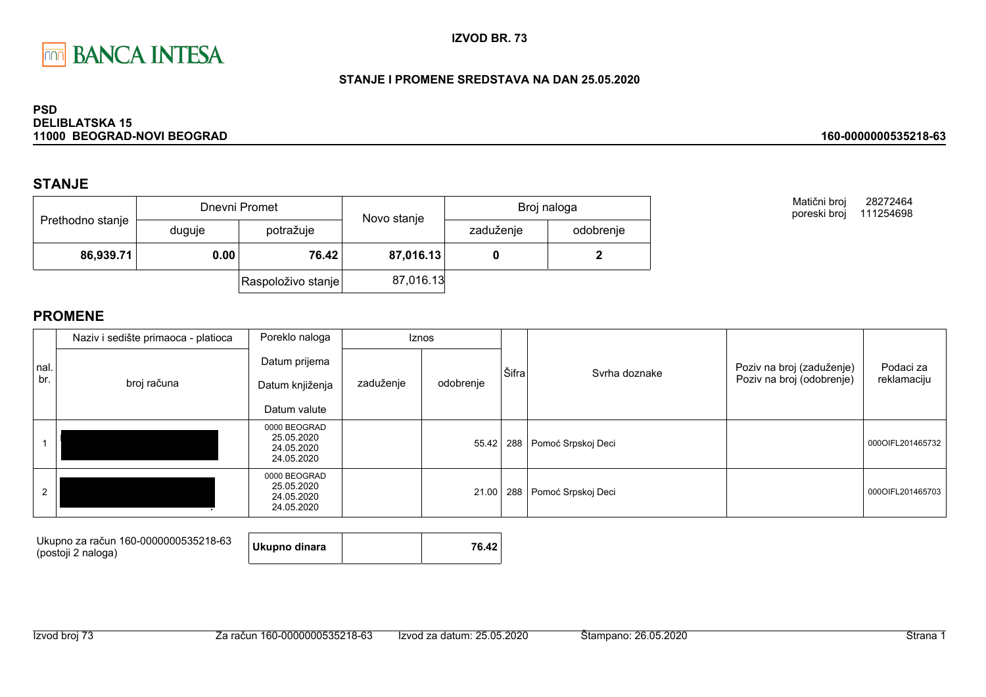

## STANJE I PROMENE SREDSTAVA NA DAN 25.05.2020

### **PSD DELIBLATSKA 15** 11000 BEOGRAD-NOVI BEOGRAD

# **STANJE**

|                  |        | Dnevni Promet      | Novo stanje | Broj naloga |           |  |
|------------------|--------|--------------------|-------------|-------------|-----------|--|
| Prethodno stanje | duguje | potražuje          |             | zaduženje   | odobrenje |  |
| 86,939.71        | 0.00   | 76.42              | 87,016.13   |             |           |  |
|                  |        | Raspoloživo stanje | 87,016.13   |             |           |  |

Matični broj 28272464 poreski broj 111254698

160-0000000535218-63

|      | Naziv i sedište primaoca - platioca | Poreklo naloga                                         |           | <b>Iznos</b> |       |                                  |                           |                  |
|------|-------------------------------------|--------------------------------------------------------|-----------|--------------|-------|----------------------------------|---------------------------|------------------|
| nal. |                                     | Datum prijema                                          |           |              | Šifra | Syrha doznake                    | Poziv na broj (zaduženje) | Podaci za        |
| br.  | broj računa                         | Datum knjiženja                                        | zaduženje | odobrenje    |       |                                  | Poziv na broj (odobrenje) | reklamaciju      |
|      |                                     | Datum valute                                           |           |              |       |                                  |                           |                  |
|      |                                     | 0000 BEOGRAD<br>25.05.2020<br>24.05.2020<br>24.05.2020 |           | 55.42        |       | 288   Pomoć Srpskoj Deci         |                           | 000OIFL201465732 |
| 2    |                                     | 0000 BEOGRAD<br>25.05.2020<br>24.05.2020<br>24.05.2020 |           |              |       | 21.00   288   Pomoć Srpskoj Deci |                           | 000OIFL201465703 |

| Ukupno za račun 160-0000000535218-63<br>(postoji 2 naloga) | Ukupno dinara |  | 76.42 |  |
|------------------------------------------------------------|---------------|--|-------|--|
|------------------------------------------------------------|---------------|--|-------|--|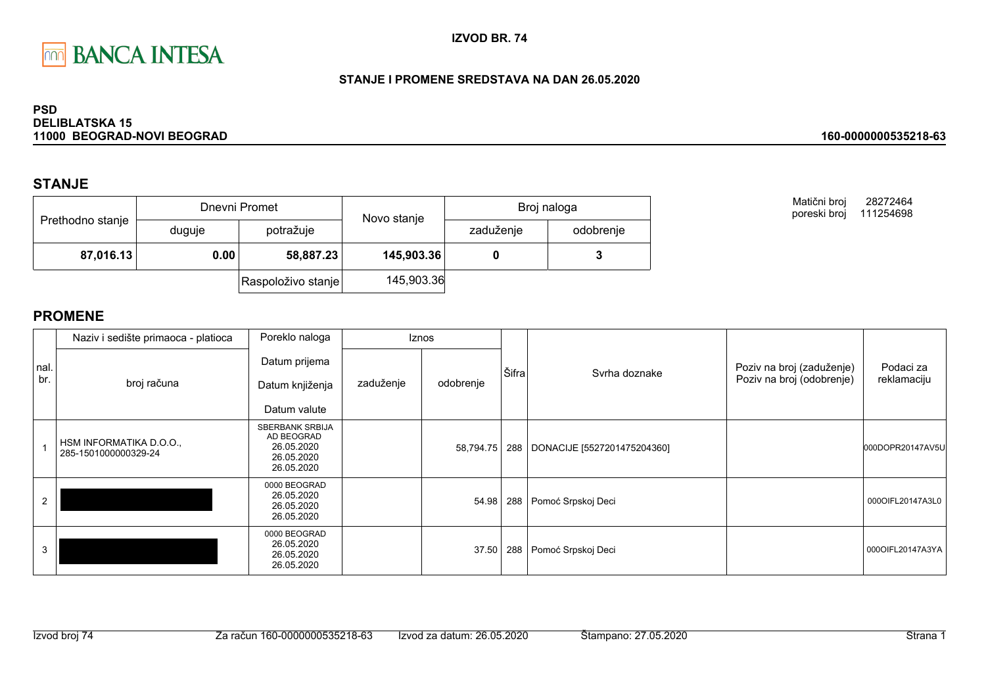

## STANJE I PROMENE SREDSTAVA NA DAN 26.05.2020

### **PSD DELIBLATSKA 15** 11000 BEOGRAD-NOVI BEOGRAD

# **STANJE**

| Prethodno stanje |        | Dnevni Promet      | Novo stanje | Broj naloga |           |  |
|------------------|--------|--------------------|-------------|-------------|-----------|--|
|                  | duguje | potražuje          |             | zaduženje   | odobrenje |  |
| 87,016.13        | 0.00   | 58,887.23          | 145,903.36  |             |           |  |
|                  |        | Raspoloživo stanje | 145,903.36  |             |           |  |

Matični broj 28272464 poreski broj 111254698

160-0000000535218-63

|             | Naziv i sedište primaoca - platioca             | Poreklo naloga                                                                 |           | <b>Iznos</b> |       |                                   |                                                        |                          |
|-------------|-------------------------------------------------|--------------------------------------------------------------------------------|-----------|--------------|-------|-----------------------------------|--------------------------------------------------------|--------------------------|
| nal.<br>br. | broj računa                                     | Datum prijema<br>Datum knjiženja<br>Datum valute                               | zaduženje | odobrenje    | Šifra | Svrha doznake                     | Poziv na broj (zaduženje)<br>Poziv na broj (odobrenje) | Podaci za<br>reklamaciju |
|             | HSM INFORMATIKA D.O.O.,<br>285-1501000000329-24 | <b>SBERBANK SRBIJA</b><br>AD BEOGRAD<br>26.05.2020<br>26.05.2020<br>26.05.2020 |           | 58,794.75    |       | 288   DONACIJE [5527201475204360] |                                                        | 000DOPR20147AV5U         |
|             |                                                 | 0000 BEOGRAD<br>26.05.2020<br>26.05.2020<br>26.05.2020                         |           | 54.98        |       | 288 Pomoć Srpskoj Deci            |                                                        | 0000IFL20147A3L0         |
| 3           |                                                 | 0000 BEOGRAD<br>26.05.2020<br>26.05.2020<br>26.05.2020                         |           | 37.50        | 288   | Pomoć Srpskoj Deci                |                                                        | 0000IFL20147A3YA         |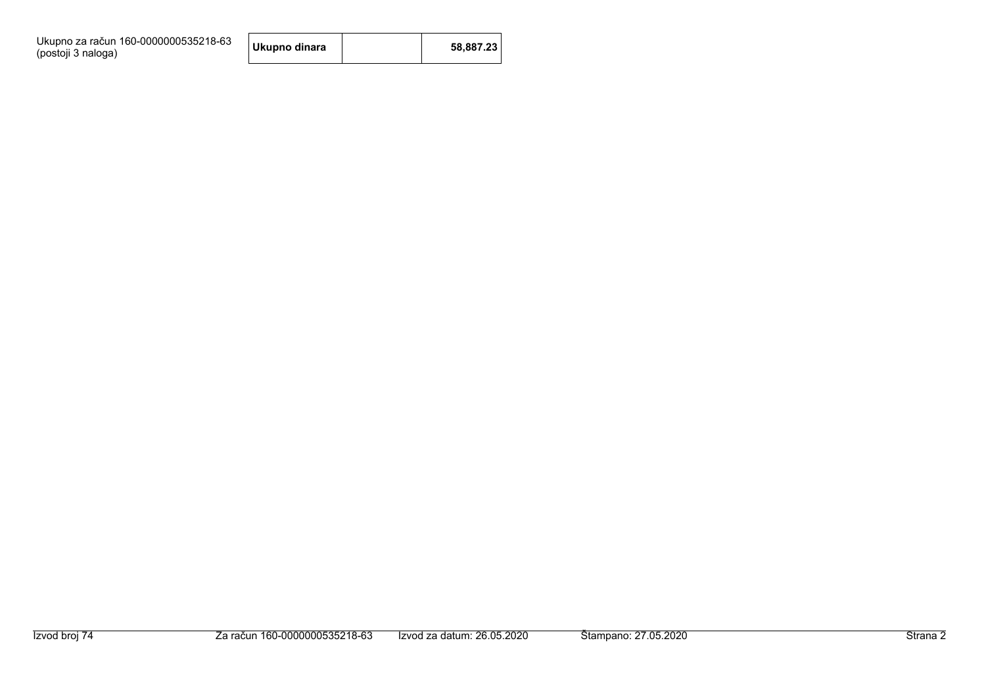| Ukupno za račun 160-0000000535218-63 |  |
|--------------------------------------|--|
| (postoji 3 naloga)                   |  |

| 58,887.23<br>Ukupno dinara |
|----------------------------|
|----------------------------|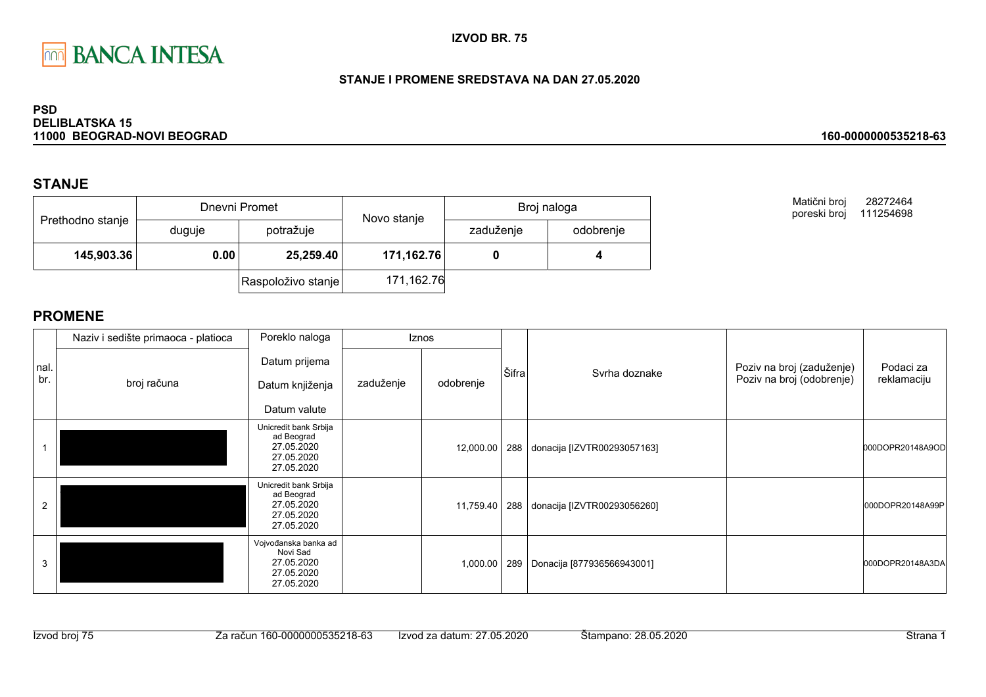

## STANJE I PROMENE SREDSTAVA NA DAN 27.05.2020

### **PSD DELIBLATSKA 15** 11000 BEOGRAD-NOVI BEOGRAD

# **STANJE**

| Prethodno stanje |        | Dnevni Promet      | Novo stanje | Broj naloga |           |  |
|------------------|--------|--------------------|-------------|-------------|-----------|--|
|                  | duguje | potražuje          |             | zaduženje   | odobrenje |  |
| 145,903.36       | 0.00   | 25,259.40          | 171,162.76  |             |           |  |
|                  |        | Raspoloživo stanje | 171,162.76  |             |           |  |

Matični broj 28272464 poreski broj 111254698

160-0000000535218-63

|             | Naziv i sedište primaoca - platioca | Poreklo naloga                                                                |           | Iznos     |       |                                 |                                                        |                          |
|-------------|-------------------------------------|-------------------------------------------------------------------------------|-----------|-----------|-------|---------------------------------|--------------------------------------------------------|--------------------------|
| nal.<br>br. | broj računa                         | Datum prijema<br>Datum knjiženja<br>Datum valute                              | zaduženje | odobrenje | Šifra | Syrha doznake                   | Poziv na broj (zaduženje)<br>Poziv na broj (odobrenje) | Podaci za<br>reklamaciju |
|             |                                     | Unicredit bank Srbija<br>ad Beograd<br>27.05.2020<br>27.05.2020<br>27.05.2020 |           | 12,000.00 |       | 288 donacija [IZVTR00293057163] |                                                        | 000DOPR20148A9OD         |
| 2           |                                     | Unicredit bank Srbija<br>ad Beograd<br>27.05.2020<br>27.05.2020<br>27.05.2020 |           | 11,759.40 |       | 288 donacija [IZVTR00293056260] |                                                        | 000DOPR20148A99P         |
| 3           |                                     | Vojvođanska banka ad<br>Novi Sad<br>27.05.2020<br>27.05.2020<br>27.05.2020    |           | 1,000.00  | 289   | Donacija [877936566943001]      |                                                        | 000DOPR20148A3DA         |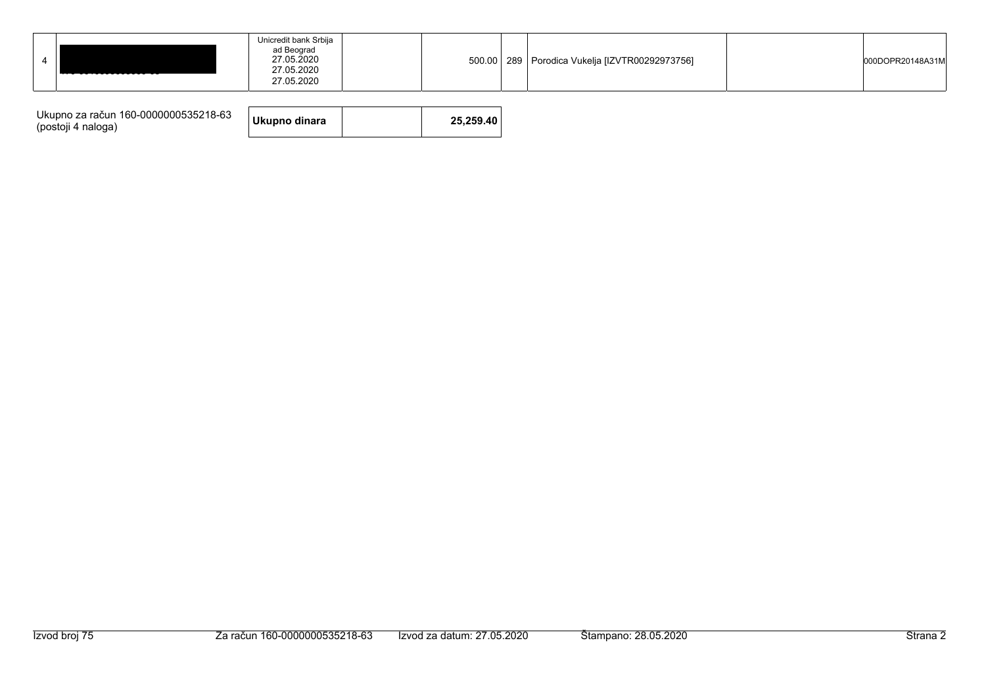|  | TTV VVTVVVVVVVVVV VV | Unicredit bank Srbija<br>ad Beograd<br>27.05.2020<br>27.05.2020<br>27.05.2020 |  | 500.00 |  | 289   Porodica Vukelja [IZVTR00292973756] |  | 000DOPR20148A31M |  |
|--|----------------------|-------------------------------------------------------------------------------|--|--------|--|-------------------------------------------|--|------------------|--|
|--|----------------------|-------------------------------------------------------------------------------|--|--------|--|-------------------------------------------|--|------------------|--|

| Ukupno za račun 160-0000000535218-63<br>(postoji 4 naloga) | Ukupno dinara |  | 25.259.40 |
|------------------------------------------------------------|---------------|--|-----------|
|------------------------------------------------------------|---------------|--|-----------|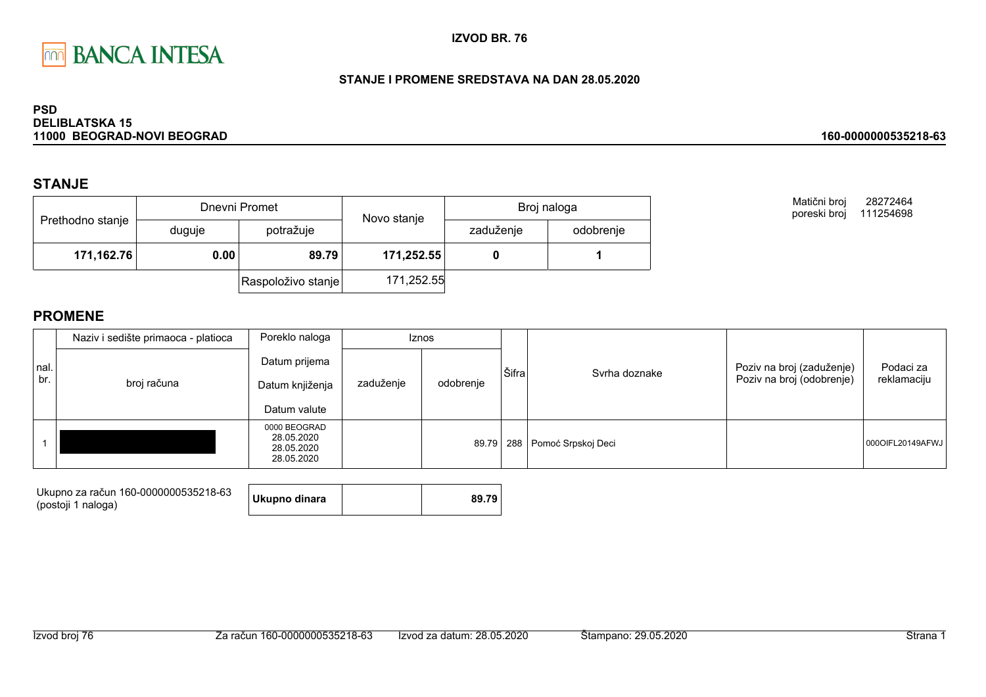

## STANJE I PROMENE SREDSTAVA NA DAN 28.05.2020

### **PSD DELIBLATSKA 15** 11000 BEOGRAD-NOVI BEOGRAD

# **STANJE**

|                  |        | Dnevni Promet          | Novo stanje | Broj naloga |  |  |
|------------------|--------|------------------------|-------------|-------------|--|--|
| Prethodno stanje | duguje | zaduženje<br>potražuje | odobrenje   |             |  |  |
| 171,162.76       | 0.00   | 89.79                  | 171,252.55  |             |  |  |
|                  |        | Raspoloživo stanje     | 171,252.55  |             |  |  |

Matični broj 28272464 poreski broj 111254698

160-0000000535218-63

|             | Naziv i sedište primaoca - platioca | Poreklo naloga                                         |           | Iznos     |       |                        |                                                        |                          |
|-------------|-------------------------------------|--------------------------------------------------------|-----------|-----------|-------|------------------------|--------------------------------------------------------|--------------------------|
| nal.<br>br. | broj računa                         | Datum prijema<br>Datum knjiženja<br>Datum valute       | zaduženje | odobrenje | Šifra | Syrha doznake          | Poziv na broj (zaduženje)<br>Poziv na broj (odobrenje) | Podaci za<br>reklamaciju |
|             |                                     | 0000 BEOGRAD<br>28.05.2020<br>28.05.2020<br>28.05.2020 |           | 89.79     |       | 288 Pomoć Srpskoj Deci |                                                        | 0000IFL20149AFWJ         |

| Ukupno za račun 160-0000000535218-63 | Ukupno dinara | 89.79 |
|--------------------------------------|---------------|-------|
| (postoji 1 naloga)                   |               |       |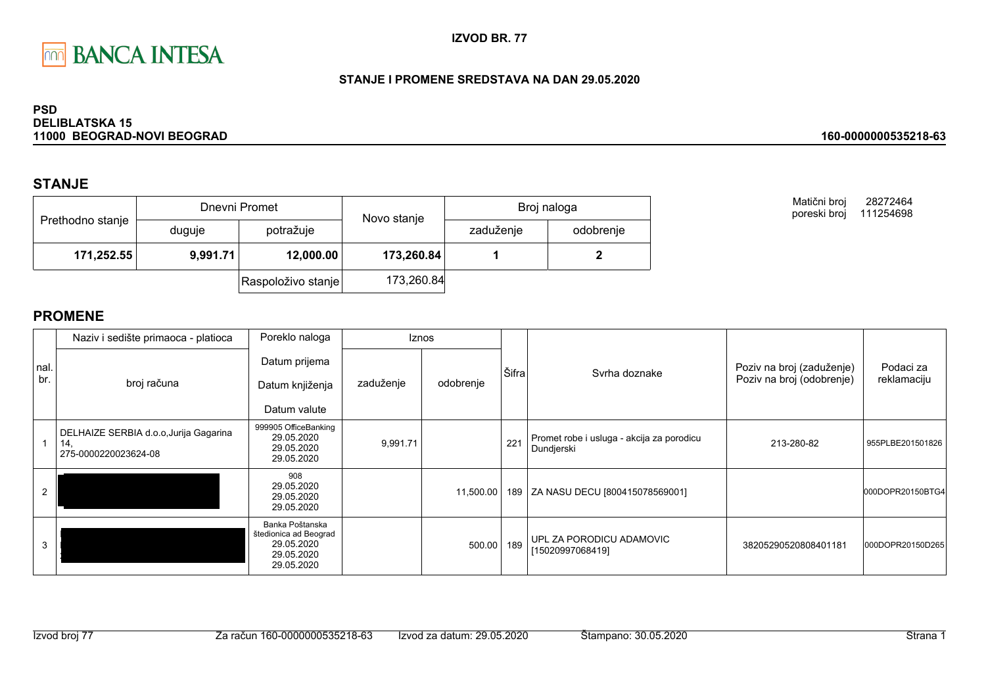

## STANJE I PROMENE SREDSTAVA NA DAN 29.05.2020

### **PSD DELIBLATSKA 15** 11000 BEOGRAD-NOVI BEOGRAD

# **STANJE**

|                  |          | Dnevni Promet      | Novo stanje | Broj naloga            |  |  |
|------------------|----------|--------------------|-------------|------------------------|--|--|
| Prethodno stanje | duguje   | potražuje          |             | zaduženje<br>odobrenje |  |  |
| 171,252.55       | 9,991.71 | 12,000.00          | 173,260.84  |                        |  |  |
|                  |          | Raspoloživo stanje | 173,260.84  |                        |  |  |

Matični broj 28272464 poreski broj 111254698

160-0000000535218-63

|              | Naziv i sedište primaoca - platioca                                   | Poreklo naloga                                                                     |           | <b>Iznos</b> |       |                                                         |                                                        |                          |
|--------------|-----------------------------------------------------------------------|------------------------------------------------------------------------------------|-----------|--------------|-------|---------------------------------------------------------|--------------------------------------------------------|--------------------------|
| Inal.<br>br. | broj računa                                                           | Datum prijema<br>Datum knjiženja<br>Datum valute                                   | zaduženje | odobrenje    | Šifra | Syrha doznake                                           | Poziv na broj (zaduženje)<br>Poziv na broj (odobrenje) | Podaci za<br>reklamaciju |
|              | DELHAIZE SERBIA d.o.o, Jurija Gagarina<br>14,<br>275-0000220023624-08 | 999905 OfficeBanking<br>29.05.2020<br>29.05.2020<br>29.05.2020                     | 9,991.71  |              | 221   | Promet robe i usluga - akcija za porodicu<br>Dundjerski | 213-280-82                                             | 955PLBE201501826         |
|              |                                                                       | 908<br>29.05.2020<br>29.05.2020<br>29.05.2020                                      |           | 11,500.00    | 189   | ZA NASU DECU [800415078569001]                          |                                                        | 000DOPR20150BTG4         |
| 3            |                                                                       | Banka Poštanska<br>štedionica ad Beograd<br>29.05.2020<br>29.05.2020<br>29.05.2020 |           | 500.00       | 189   | UPL ZA PORODICU ADAMOVIC<br>[15020997068419]            | 38205290520808401181                                   | 000DOPR20150D265         |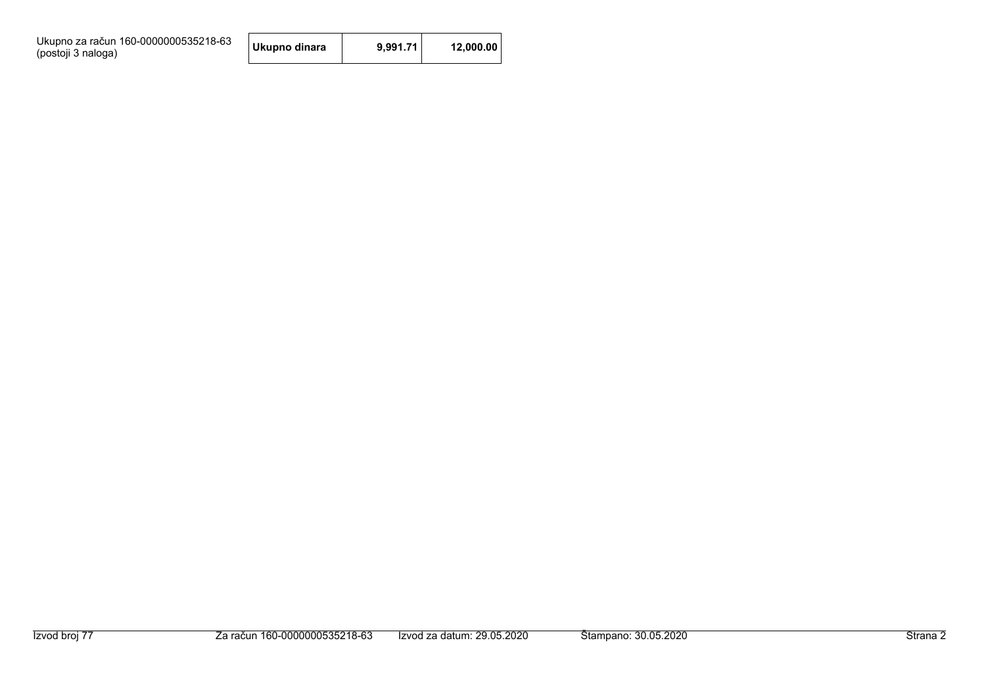Ukupno za račun 160-0000000535218-63<br>(postoji 3 naloga)

| Ukupno dinara | 9,991.71 | 12,000.00 |
|---------------|----------|-----------|
|---------------|----------|-----------|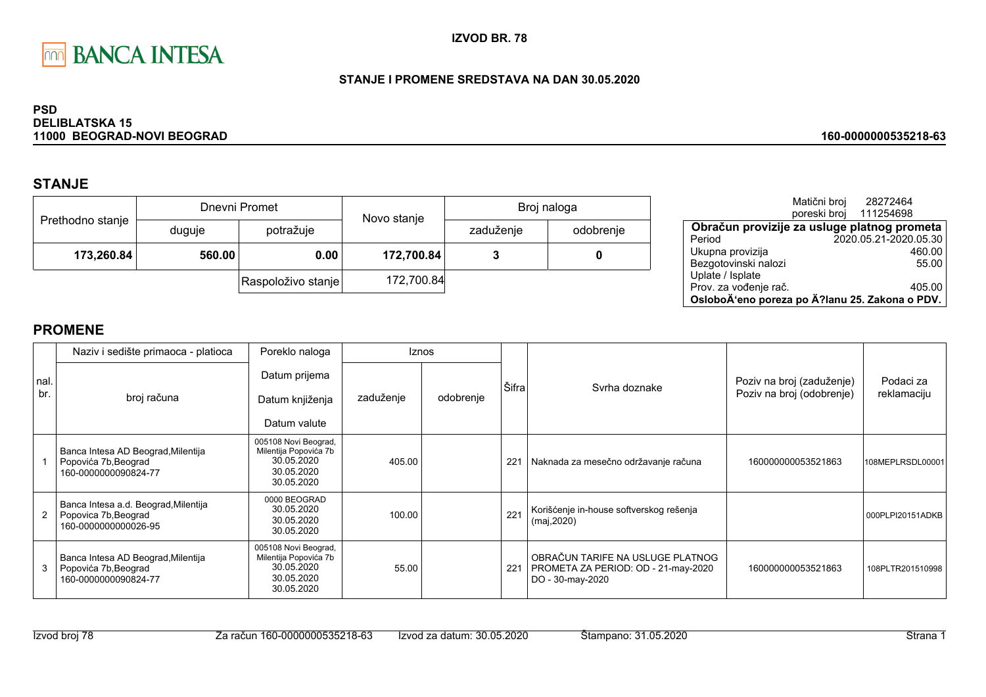

## STANJE I PROMENE SREDSTAVA NA DAN 30.05.2020

### **PSD DELIBLATSKA 15** 11000 BEOGRAD-NOVI BEOGRAD

# **STANJE**

|                  |        | Dnevni Promet      | Novo stanje | Broj naloga |           |  |
|------------------|--------|--------------------|-------------|-------------|-----------|--|
| Prethodno stanje | duguje | potražuje          |             | zaduženje   | odobrenje |  |
| 173,260.84       | 560.00 | 0.00               | 172,700.84  |             | 0         |  |
|                  |        | Raspoloživo stanje | 172,700.84  |             |           |  |

|                                                | Matični broj | 28272464<br>poreski broj 111254698 |        |
|------------------------------------------------|--------------|------------------------------------|--------|
| Obračun provizije za usluge platnog prometa    |              |                                    |        |
| Period                                         |              | 2020.05.21-2020.05.30              |        |
| Ukupna provizija                               |              |                                    | 460.00 |
| Bezgotovinski nalozi                           |              |                                    | 55.00  |
| Uplate / Isplate                               |              |                                    |        |
| Prov. za vođenje rač.                          |              |                                    | 405.00 |
| OsloboÄ'eno poreza po Ä?lanu 25. Zakona o PDV. |              |                                    |        |

160-0000000535218-63

|             | Naziv i sedište primaoca - platioca                                                  | Poreklo naloga                                                                          |           | <b>Iznos</b> |       |                                                                                             |                                                        |                          |
|-------------|--------------------------------------------------------------------------------------|-----------------------------------------------------------------------------------------|-----------|--------------|-------|---------------------------------------------------------------------------------------------|--------------------------------------------------------|--------------------------|
| nal.<br>br. | broj računa                                                                          | Datum prijema<br>Datum knjiženja<br>Datum valute                                        | zaduženje | odobrenje    | Šifra | Syrha doznake                                                                               | Poziv na broj (zaduženje)<br>Poziv na broj (odobrenje) | Podaci za<br>reklamaciju |
|             | Banca Intesa AD Beograd, Milentija<br>Popovića 7b, Beograd<br>160-0000000090824-77   | 005108 Novi Beograd,<br>Milentija Popovića 7b<br>30.05.2020<br>30.05.2020<br>30.05.2020 | 405.00    |              | 221   | Naknada za mesečno održavanje računa                                                        | 160000000053521863                                     | 108MEPLRSDL00001         |
|             | Banca Intesa a.d. Beograd, Milentija<br>Popovica 7b, Beograd<br>160-0000000000026-95 | 0000 BEOGRAD<br>30.05.2020<br>30.05.2020<br>30.05.2020                                  | 100.00    |              | 221   | Korišćenje in-house softverskog rešenja<br>(maj, 2020)                                      |                                                        | 000PLPI20151ADKB         |
|             | Banca Intesa AD Beograd, Milentija<br>Popovića 7b, Beograd<br>160-0000000090824-77   | 005108 Novi Beograd,<br>Milentija Popovića 7b<br>30.05.2020<br>30.05.2020<br>30.05.2020 | 55.00     |              | 221   | OBRAČUN TARIFE NA USLUGE PLATNOG<br>PROMETA ZA PERIOD: OD - 21-may-2020<br>DO - 30-may-2020 | 160000000053521863                                     | 108PLTR201510998         |